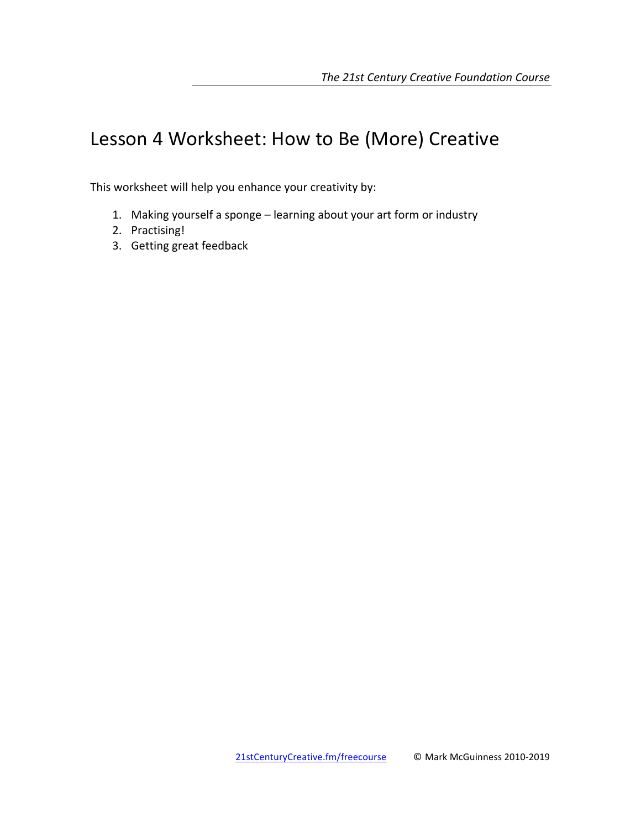# Lesson 4 Worksheet: How to Be (More) Creative

This worksheet will help you enhance your creativity by:

- 1. Making yourself a sponge learning about your art form or industry
- 2. Practising!
- 3. Getting great feedback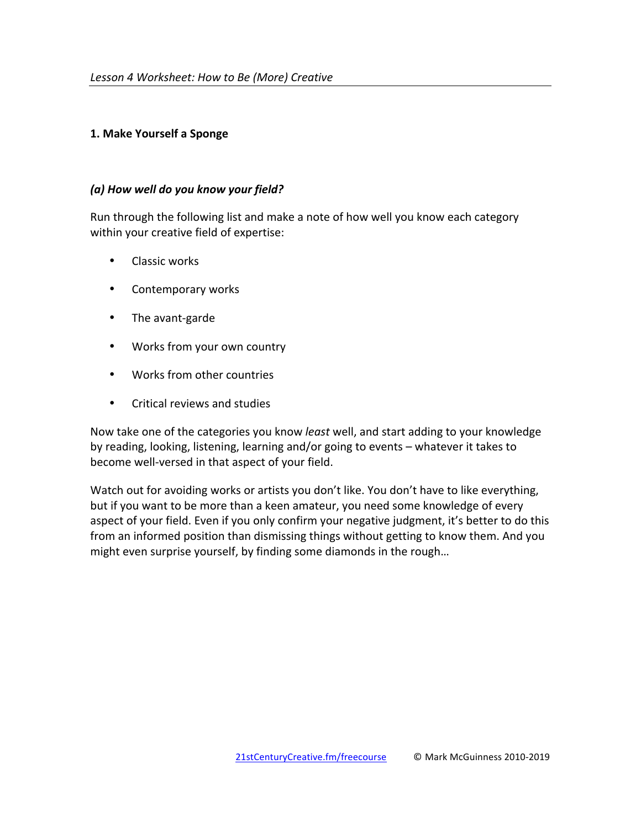## **1. Make Yourself a Sponge**

## *(a) How well do you know your field?*

Run through the following list and make a note of how well you know each category within your creative field of expertise:

- Classic works
- Contemporary works
- The avant-garde
- Works from your own country
- Works from other countries
- Critical reviews and studies

Now take one of the categories you know *least* well, and start adding to your knowledge by reading, looking, listening, learning and/or going to events – whatever it takes to become well-versed in that aspect of your field.

Watch out for avoiding works or artists you don't like. You don't have to like everything, but if you want to be more than a keen amateur, you need some knowledge of every aspect of your field. Even if you only confirm your negative judgment, it's better to do this from an informed position than dismissing things without getting to know them. And you might even surprise yourself, by finding some diamonds in the rough...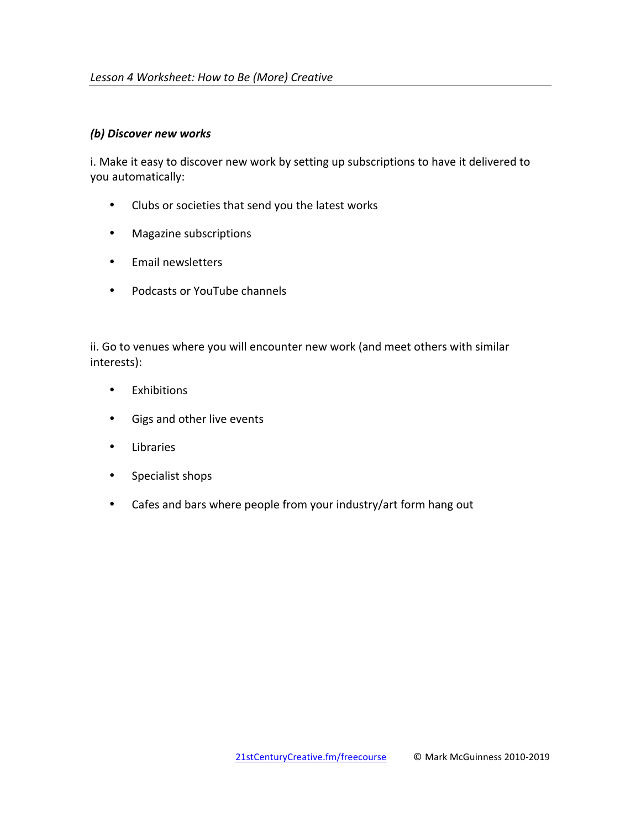## **(b) Discover new works**

i. Make it easy to discover new work by setting up subscriptions to have it delivered to you automatically:

- Clubs or societies that send you the latest works
- Magazine subscriptions
- Email newsletters
- Podcasts or YouTube channels

ii. Go to venues where you will encounter new work (and meet others with similar interests):

- Exhibitions
- Gigs and other live events
- Libraries
- Specialist shops
- Cafes and bars where people from your industry/art form hang out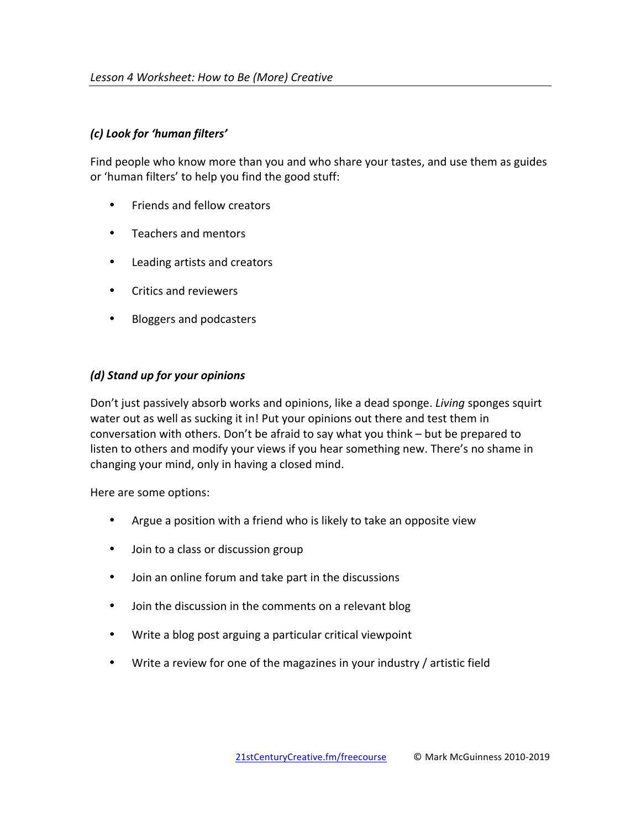## *(c) Look for 'human filters'*

Find people who know more than you and who share your tastes, and use them as guides or 'human filters' to help you find the good stuff:

- Friends and fellow creators
- Teachers and mentors
- Leading artists and creators
- Critics and reviewers
- Bloggers and podcasters

## *(d) Stand up for your opinions*

Don't just passively absorb works and opinions, like a dead sponge. *Living* sponges squirt water out as well as sucking it in! Put your opinions out there and test them in conversation with others. Don't be afraid to say what you think – but be prepared to listen to others and modify your views if you hear something new. There's no shame in changing your mind, only in having a closed mind.

Here are some options:

- Argue a position with a friend who is likely to take an opposite view
- Join to a class or discussion group
- Join an online forum and take part in the discussions
- Join the discussion in the comments on a relevant blog
- Write a blog post arguing a particular critical viewpoint
- Write a review for one of the magazines in your industry  $/$  artistic field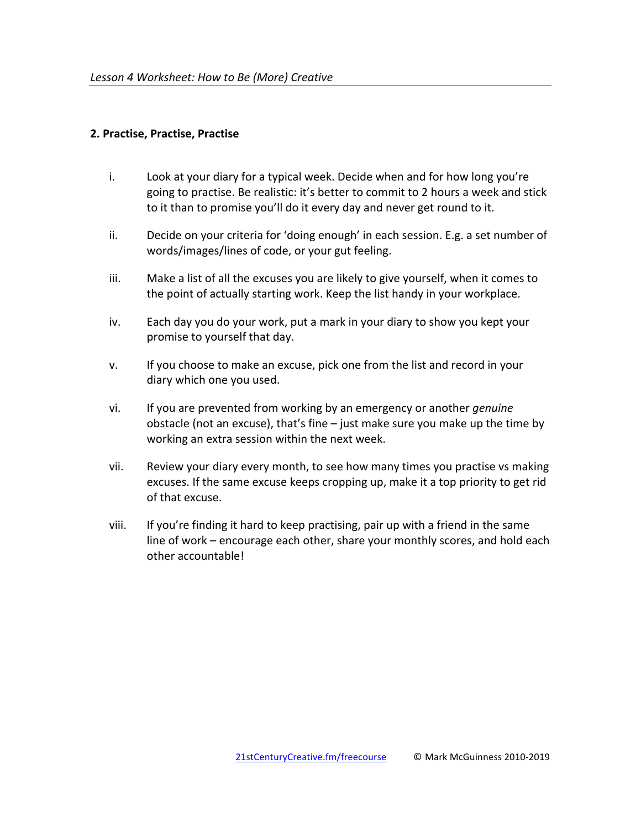#### **2. Practise, Practise, Practise**

- i. Look at your diary for a typical week. Decide when and for how long you're going to practise. Be realistic: it's better to commit to 2 hours a week and stick to it than to promise you'll do it every day and never get round to it.
- $ii.$  Decide on your criteria for 'doing enough' in each session. E.g. a set number of words/images/lines of code, or your gut feeling.
- iii. Make a list of all the excuses you are likely to give yourself, when it comes to the point of actually starting work. Keep the list handy in your workplace.
- iv. Each day you do your work, put a mark in your diary to show you kept your promise to yourself that day.
- v. If you choose to make an excuse, pick one from the list and record in your diary which one you used.
- vi. If you are prevented from working by an emergency or another *genuine* obstacle (not an excuse), that's fine  $-$  just make sure you make up the time by working an extra session within the next week.
- vii. Review your diary every month, to see how many times you practise vs making excuses. If the same excuse keeps cropping up, make it a top priority to get rid of that excuse.
- viii. If you're finding it hard to keep practising, pair up with a friend in the same line of work – encourage each other, share your monthly scores, and hold each other accountable!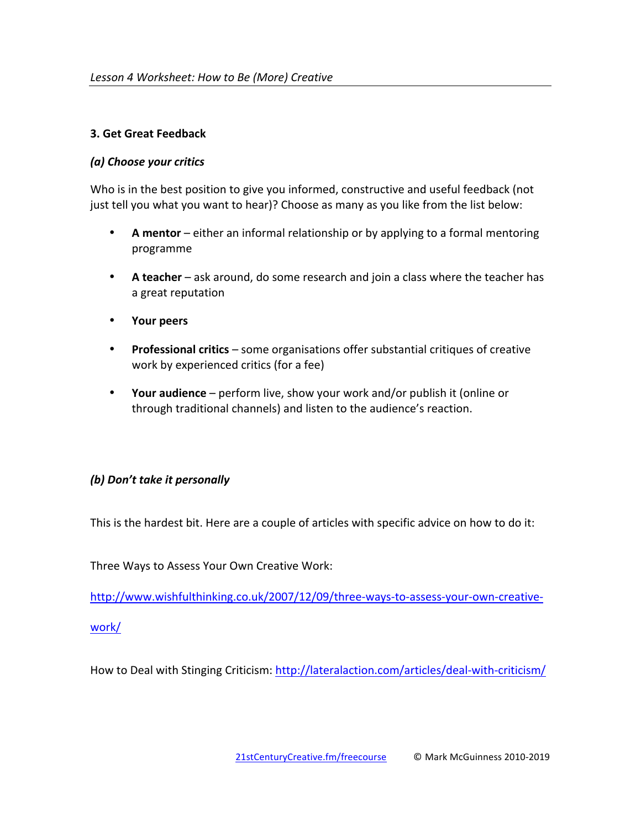## **3. Get Great Feedback**

# *(a) Choose your critics*

Who is in the best position to give you informed, constructive and useful feedback (not just tell you what you want to hear)? Choose as many as you like from the list below:

- **A** mentor either an informal relationship or by applying to a formal mentoring programme
- A **teacher** ask around, do some research and join a class where the teacher has a great reputation
- **Your peers**
- **Professional critics** some organisations offer substantial critiques of creative work by experienced critics (for a fee)
- Your audience perform live, show your work and/or publish it (online or through traditional channels) and listen to the audience's reaction.

# *(b)* Don't take it personally

This is the hardest bit. Here are a couple of articles with specific advice on how to do it:

Three Ways to Assess Your Own Creative Work:

http://www.wishfulthinking.co.uk/2007/12/09/three-ways-to-assess-your-own-creative-

work/

How to Deal with Stinging Criticism: http://lateralaction.com/articles/deal-with-criticism/